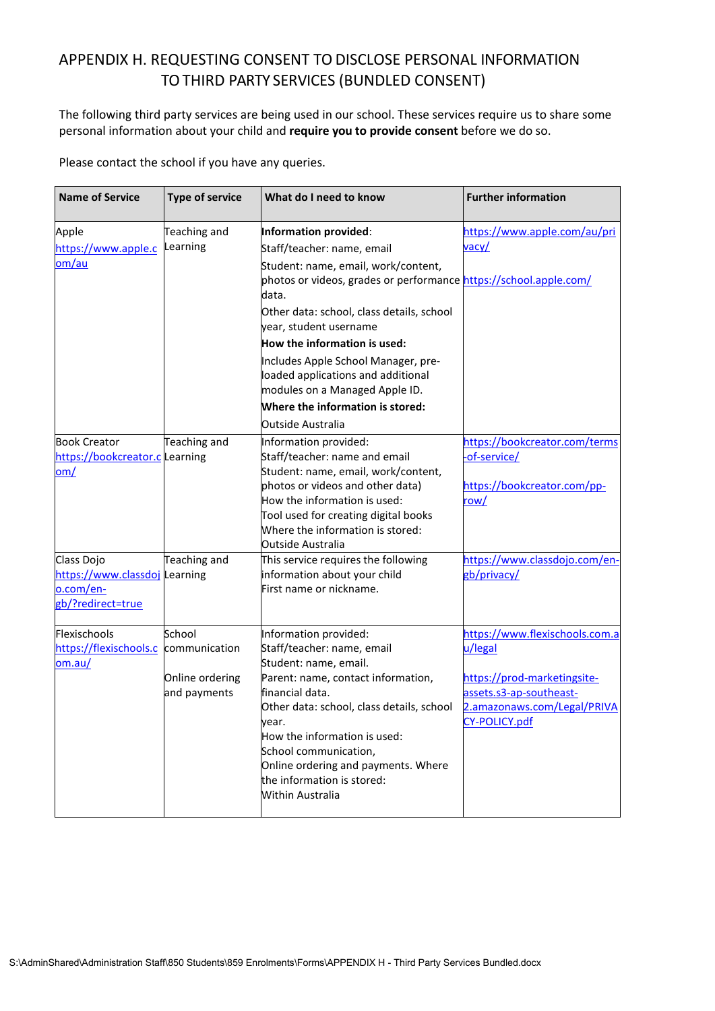## APPENDIX H. REQUESTING CONSENT TO DISCLOSE PERSONAL INFORMATION TO THIRD PARTY SERVICES (BUNDLED CONSENT)

The following third party services are being used in our school. These services require us to share some personal information about your child and **require you to provide consent** before we do so.

Please contact the school if you have any queries.

| <b>Name of Service</b>                                                        | <b>Type of service</b>          | What do I need to know                                                                                                                                                                                                                                        | <b>Further information</b>                                                                             |
|-------------------------------------------------------------------------------|---------------------------------|---------------------------------------------------------------------------------------------------------------------------------------------------------------------------------------------------------------------------------------------------------------|--------------------------------------------------------------------------------------------------------|
| Apple                                                                         | Teaching and                    | Information provided:                                                                                                                                                                                                                                         | https://www.apple.com/au/pri                                                                           |
| https://www.apple.c                                                           | Learning                        | Staff/teacher: name, email                                                                                                                                                                                                                                    | <u>vacy/</u>                                                                                           |
| om/au                                                                         |                                 | Student: name, email, work/content,<br>photos or videos, grades or performance https://school.apple.com/<br>data.                                                                                                                                             |                                                                                                        |
|                                                                               |                                 | Other data: school, class details, school<br>year, student username                                                                                                                                                                                           |                                                                                                        |
|                                                                               |                                 | How the information is used:                                                                                                                                                                                                                                  |                                                                                                        |
|                                                                               |                                 | Includes Apple School Manager, pre-<br>loaded applications and additional<br>modules on a Managed Apple ID.                                                                                                                                                   |                                                                                                        |
|                                                                               |                                 | Where the information is stored:                                                                                                                                                                                                                              |                                                                                                        |
|                                                                               |                                 | Outside Australia                                                                                                                                                                                                                                             |                                                                                                        |
| <b>Book Creator</b><br>https://bookcreator.c Learning<br><u>om/</u>           | Teaching and                    | Information provided:<br>Staff/teacher: name and email<br>Student: name, email, work/content,                                                                                                                                                                 | https://bookcreator.com/terms<br>-of-service/                                                          |
|                                                                               |                                 | photos or videos and other data)<br>How the information is used:<br>Tool used for creating digital books<br>Where the information is stored:<br>Outside Australia                                                                                             | https://bookcreator.com/pp-<br>row/                                                                    |
| Class Dojo<br>https://www.classdoj Learning<br>o.com/en-<br>gb/?redirect=true | Teaching and                    | This service requires the following<br>information about your child<br>First name or nickname.                                                                                                                                                                | https://www.classdojo.com/en-<br>gb/privacy/                                                           |
| Flexischools<br>https://flexischools.c<br>om.au/                              | School<br>communication         | Information provided:<br>Staff/teacher: name, email<br>Student: name, email.                                                                                                                                                                                  | https://www.flexischools.com.a<br>u/legal                                                              |
|                                                                               | Online ordering<br>and payments | Parent: name, contact information,<br>financial data.<br>Other data: school, class details, school<br>vear.<br>How the information is used:<br>School communication,<br>Online ordering and payments. Where<br>the information is stored:<br>Within Australia | https://prod-marketingsite-<br>assets.s3-ap-southeast-<br>2.amazonaws.com/Legal/PRIVA<br>CY-POLICY.pdf |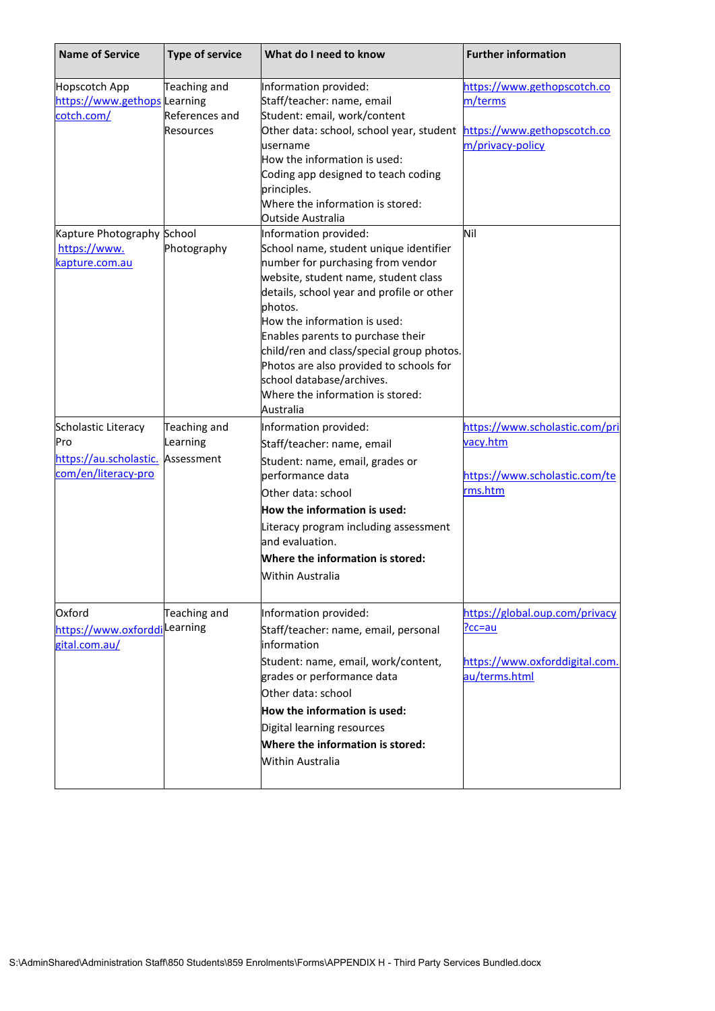| <b>Name of Service</b>                        | <b>Type of service</b> | What do I need to know                                               | <b>Further information</b>             |
|-----------------------------------------------|------------------------|----------------------------------------------------------------------|----------------------------------------|
| Hopscotch App<br>https://www.gethops Learning | Teaching and           | Information provided:<br>Staff/teacher: name, email                  | https://www.gethopscotch.co<br>m/terms |
| cotch.com/                                    | References and         | Student: email, work/content                                         |                                        |
|                                               | <b>Resources</b>       | Other data: school, school year, student https://www.gethopscotch.co |                                        |
|                                               |                        | username                                                             | m/privacy-policy                       |
|                                               |                        | How the information is used:                                         |                                        |
|                                               |                        | Coding app designed to teach coding                                  |                                        |
|                                               |                        | principles.                                                          |                                        |
|                                               |                        | Where the information is stored:<br>Outside Australia                |                                        |
| Kapture Photography School                    |                        | Information provided:                                                | Nil                                    |
| https://www.                                  | Photography            | School name, student unique identifier                               |                                        |
| kapture.com.au                                |                        | number for purchasing from vendor                                    |                                        |
|                                               |                        | website, student name, student class                                 |                                        |
|                                               |                        | details, school year and profile or other                            |                                        |
|                                               |                        | photos.                                                              |                                        |
|                                               |                        | How the information is used:                                         |                                        |
|                                               |                        | Enables parents to purchase their                                    |                                        |
|                                               |                        | child/ren and class/special group photos.                            |                                        |
|                                               |                        | Photos are also provided to schools for<br>school database/archives. |                                        |
|                                               |                        | Where the information is stored:                                     |                                        |
|                                               |                        | Australia                                                            |                                        |
| Scholastic Literacy                           | Teaching and           | Information provided:                                                | https://www.scholastic.com/pri         |
| Pro                                           | Learning               | Staff/teacher: name, email                                           | vacy.htm                               |
| https://au.scholastic.                        | Assessment             | Student: name, email, grades or                                      |                                        |
| com/en/literacy-pro                           |                        | performance data                                                     | https://www.scholastic.com/te          |
|                                               |                        | Other data: school                                                   | rms.htm                                |
|                                               |                        | How the information is used:                                         |                                        |
|                                               |                        | Literacy program including assessment                                |                                        |
|                                               |                        | and evaluation.                                                      |                                        |
|                                               |                        | Where the information is stored:                                     |                                        |
|                                               |                        | Within Australia                                                     |                                        |
| Oxford                                        | Teaching and           | Information provided:                                                | https://global.oup.com/privacy         |
| https://www.oxforddilearning                  |                        | Staff/teacher: name, email, personal                                 | <u> ?cc=au</u>                         |
| gital.com.au/                                 |                        | information                                                          |                                        |
|                                               |                        | Student: name, email, work/content,                                  | https://www.oxforddigital.com.         |
|                                               |                        | grades or performance data                                           | au/terms.html                          |
|                                               |                        | Other data: school                                                   |                                        |
|                                               |                        | How the information is used:                                         |                                        |
|                                               |                        | Digital learning resources                                           |                                        |
|                                               |                        | Where the information is stored:                                     |                                        |
|                                               |                        | Within Australia                                                     |                                        |
|                                               |                        |                                                                      |                                        |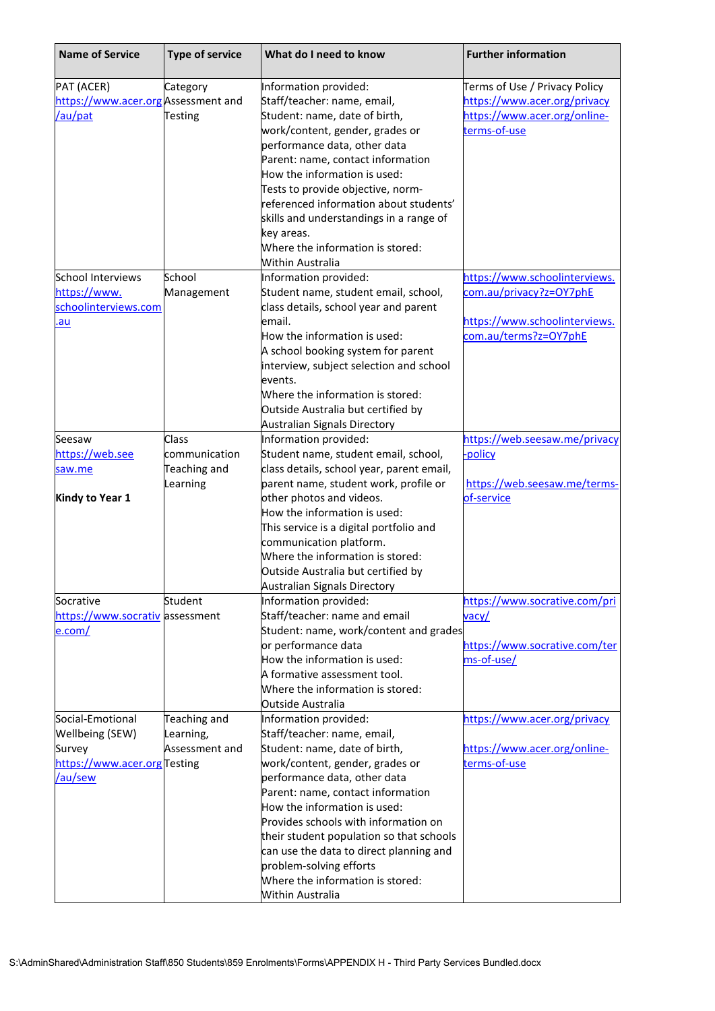| <b>Name of Service</b>             | <b>Type of service</b> | What do I need to know                    | <b>Further information</b>    |
|------------------------------------|------------------------|-------------------------------------------|-------------------------------|
| PAT (ACER)                         | Category               | Information provided:                     | Terms of Use / Privacy Policy |
| https://www.acer.orgAssessment and |                        | Staff/teacher: name, email,               | https://www.acer.org/privacy  |
| /au/pat                            | <b>Testing</b>         | Student: name, date of birth,             | https://www.acer.org/online-  |
|                                    |                        | work/content, gender, grades or           | terms-of-use                  |
|                                    |                        | performance data, other data              |                               |
|                                    |                        | Parent: name, contact information         |                               |
|                                    |                        | How the information is used:              |                               |
|                                    |                        | Tests to provide objective, norm-         |                               |
|                                    |                        | referenced information about students'    |                               |
|                                    |                        | skills and understandings in a range of   |                               |
|                                    |                        | key areas.                                |                               |
|                                    |                        | Where the information is stored:          |                               |
|                                    |                        | Within Australia                          |                               |
| School Interviews                  | School                 | Information provided:                     | https://www.schoolinterviews. |
| https://www.                       | Management             | Student name, student email, school,      | com.au/privacy?z=OY7phE       |
| schoolinterviews.com               |                        | class details, school year and parent     |                               |
| .au                                |                        | email.                                    | https://www.schoolinterviews. |
|                                    |                        | How the information is used:              | com.au/terms?z=OY7phE         |
|                                    |                        | A school booking system for parent        |                               |
|                                    |                        | interview, subject selection and school   |                               |
|                                    |                        | events.                                   |                               |
|                                    |                        | Where the information is stored:          |                               |
|                                    |                        | Outside Australia but certified by        |                               |
|                                    |                        | <b>Australian Signals Directory</b>       |                               |
| Seesaw                             | Class                  | Information provided:                     | https://web.seesaw.me/privacy |
| https://web.see                    | communication          | Student name, student email, school,      | -policy                       |
| saw.me                             | Teaching and           | class details, school year, parent email, |                               |
|                                    | Learning               | parent name, student work, profile or     | https://web.seesaw.me/terms-  |
| Kindy to Year 1                    |                        | other photos and videos.                  | of-service                    |
|                                    |                        | How the information is used:              |                               |
|                                    |                        | This service is a digital portfolio and   |                               |
|                                    |                        | communication platform.                   |                               |
|                                    |                        | Where the information is stored:          |                               |
|                                    |                        | Outside Australia but certified by        |                               |
|                                    |                        | Australian Signals Directory              |                               |
| Socrative                          | Student                | Information provided:                     | https://www.socrative.com/pri |
| https://www.socrativ assessment    |                        | Staff/teacher: name and email             | vacy/                         |
| <u>e.com/</u>                      |                        | Student: name, work/content and grades    |                               |
|                                    |                        | or performance data                       | https://www.socrative.com/ter |
|                                    |                        | How the information is used:              | ms-of-use/                    |
|                                    |                        | A formative assessment tool.              |                               |
|                                    |                        | Where the information is stored:          |                               |
|                                    |                        | <b>Outside Australia</b>                  |                               |
| Social-Emotional                   | Teaching and           | Information provided:                     | https://www.acer.org/privacy  |
| <b>Wellbeing (SEW)</b>             | Learning,              | Staff/teacher: name, email,               |                               |
| Survey                             | Assessment and         | Student: name, date of birth,             | https://www.acer.org/online-  |
| https://www.acer.orgTesting        |                        | work/content, gender, grades or           | terms-of-use                  |
| /au/sew                            |                        | performance data, other data              |                               |
|                                    |                        | Parent: name, contact information         |                               |
|                                    |                        | How the information is used:              |                               |
|                                    |                        | Provides schools with information on      |                               |
|                                    |                        | their student population so that schools  |                               |
|                                    |                        | can use the data to direct planning and   |                               |
|                                    |                        | problem-solving efforts                   |                               |
|                                    |                        | Where the information is stored:          |                               |
|                                    |                        | Within Australia                          |                               |